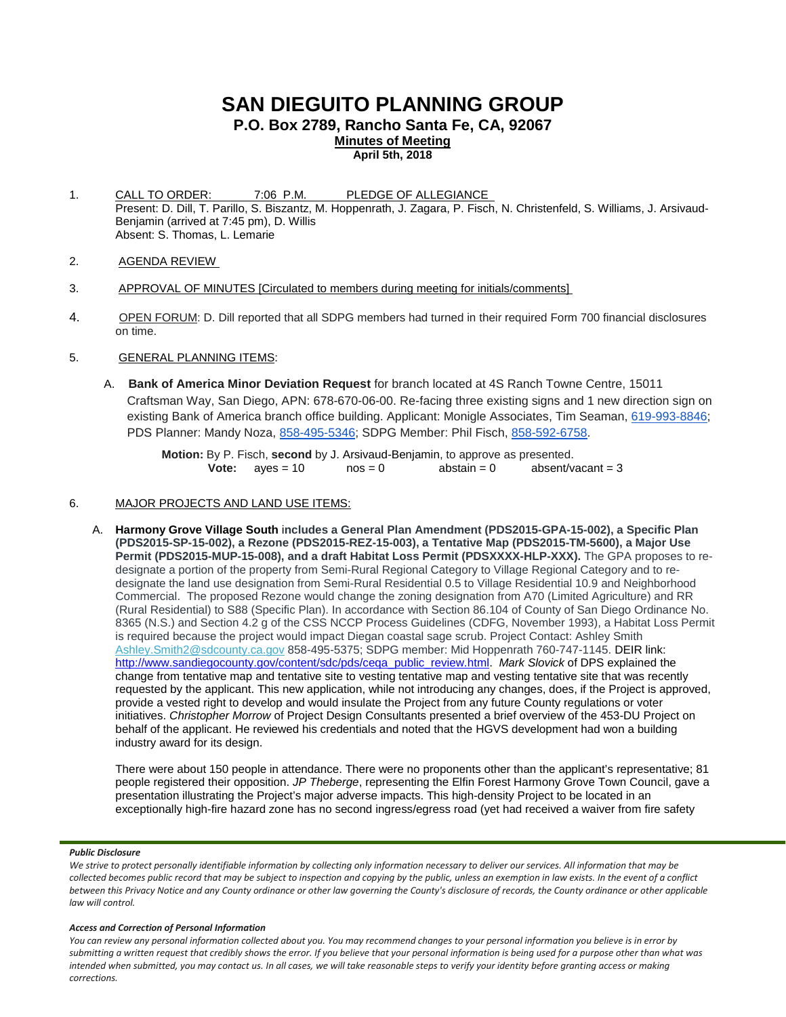# **SAN DIEGUITO PLANNING GROUP**

**P.O. Box 2789, Rancho Santa Fe, CA, 92067**

**Minutes of Meeting**

**April 5th, 2018**

- 1. CALL TO ORDER: 7:06 P.M. PLEDGE OF ALLEGIANCE Present: D. Dill, T. Parillo, S. Biszantz, M. Hoppenrath, J. Zagara, P. Fisch, N. Christenfeld, S. Williams, J. Arsivaud-Benjamin (arrived at 7:45 pm), D. Willis Absent: S. Thomas, L. Lemarie
- 2. AGENDA REVIEW
- 3. APPROVAL OF MINUTES [Circulated to members during meeting for initials/comments]
- 4. OPEN FORUM: D. Dill reported that all SDPG members had turned in their required Form 700 financial disclosures on time.
- 5. GENERAL PLANNING ITEMS:
	- A. **Bank of America Minor Deviation Request** for branch located at 4S Ranch Towne Centre, 15011 Craftsman Way, San Diego, APN: 678-670-06-00. Re-facing three existing signs and 1 new direction sign on existing Bank of America branch office building. Applicant: Monigle Associates, Tim Seaman, [619-993-8846;](tel:(619)%20993-8846) PDS Planner: Mandy Noza, [858-495-5346;](tel:(858)%20495-5346) SDPG Member: Phil Fisch, [858-592-6758.](tel:(858)%20592-6758)

**Motion:** By P. Fisch, **second** by J. Arsivaud-Benjamin, to approve as presented.<br> **Vote:** ayes = 10 nos = 0 abstain = 0 absent/vacant = 3 **Vote:**  $ayes = 10$ 

- 6. MAJOR PROJECTS AND LAND USE ITEMS:
	- A. **Harmony Grove Village South** i**ncludes a General Plan Amendment (PDS2015-GPA-15-002), a Specific Plan (PDS2015-SP-15-002), a Rezone (PDS2015-REZ-15-003), a Tentative Map (PDS2015-TM-5600), a Major Use**  Permit (PDS2015-MUP-15-008), and a draft Habitat Loss Permit (PDSXXXX-HLP-XXX). The GPA proposes to redesignate a portion of the property from Semi-Rural Regional Category to Village Regional Category and to redesignate the land use designation from Semi-Rural Residential 0.5 to Village Residential 10.9 and Neighborhood Commercial. The proposed Rezone would change the zoning designation from A70 (Limited Agriculture) and RR (Rural Residential) to S88 (Specific Plan). In accordance with Section 86.104 of County of San Diego Ordinance No. 8365 (N.S.) and Section 4.2 g of the CSS NCCP Process Guidelines (CDFG, November 1993), a Habitat Loss Permit is required because the project would impact Diegan coastal sage scrub. Project Contact: Ashley Smith [Ashley.Smith2@sdcounty.ca.gov](mailto:Ashley.Smith2@sdcounty.ca.gov?subject=Harmony%20Grove%20Village%20South) 858-495-5375; SDPG member: Mid Hoppenrath 760-747-1145. DEIR link: [http://www.sandiegocounty.gov/content/sdc/pds/ceqa\\_public\\_review.html.](http://www.sandiegocounty.gov/content/sdc/pds/ceqa_public_review.html) *Mark Slovick* of DPS explained the change from tentative map and tentative site to vesting tentative map and vesting tentative site that was recently requested by the applicant. This new application, while not introducing any changes, does, if the Project is approved, provide a vested right to develop and would insulate the Project from any future County regulations or voter initiatives. *Christopher Morrow* of Project Design Consultants presented a brief overview of the 453-DU Project on behalf of the applicant. He reviewed his credentials and noted that the HGVS development had won a building industry award for its design.

There were about 150 people in attendance. There were no proponents other than the applicant's representative; 81 people registered their opposition. *JP Theberge*, representing the Elfin Forest Harmony Grove Town Council, gave a presentation illustrating the Project's major adverse impacts. This high-density Project to be located in an exceptionally high-fire hazard zone has no second ingress/egress road (yet had received a waiver from fire safety

### *Public Disclosure*

*We strive to protect personally identifiable information by collecting only information necessary to deliver our services. All information that may be collected becomes public record that may be subject to inspection and copying by the public, unless an exemption in law exists. In the event of a conflict between this Privacy Notice and any County ordinance or other law governing the County's disclosure of records, the County ordinance or other applicable law will control.*

### *Access and Correction of Personal Information*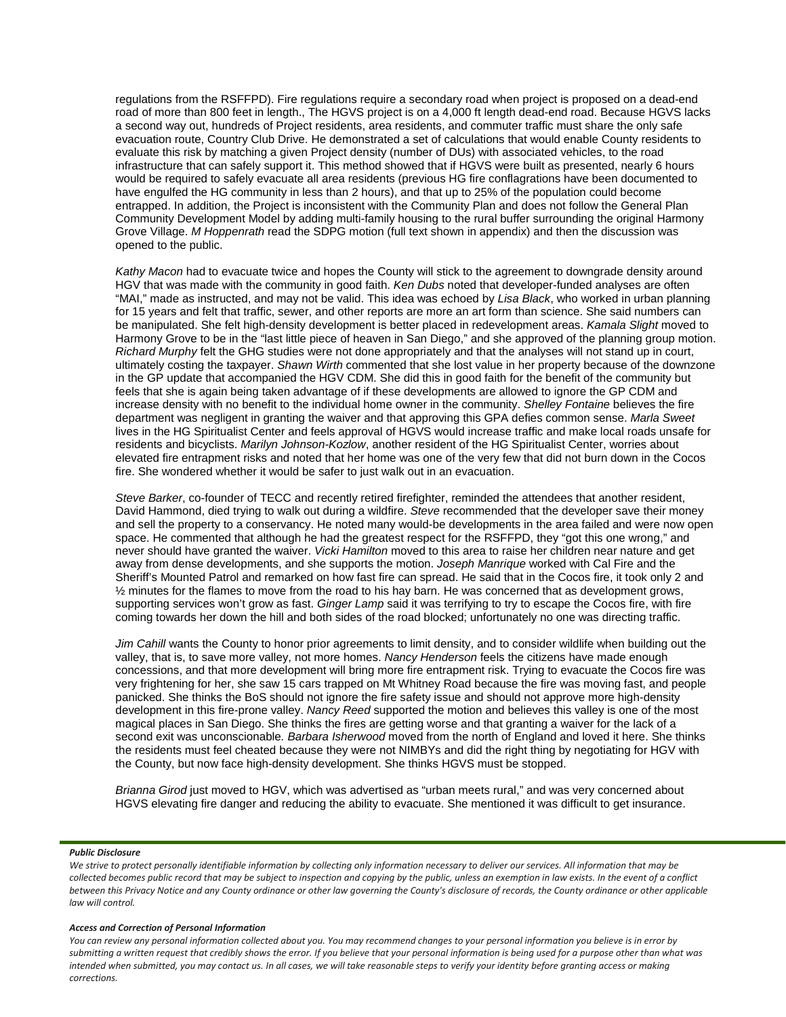regulations from the RSFFPD). Fire regulations require a secondary road when project is proposed on a dead-end road of more than 800 feet in length., The HGVS project is on a 4,000 ft length dead-end road. Because HGVS lacks a second way out, hundreds of Project residents, area residents, and commuter traffic must share the only safe evacuation route, Country Club Drive. He demonstrated a set of calculations that would enable County residents to evaluate this risk by matching a given Project density (number of DUs) with associated vehicles, to the road infrastructure that can safely support it. This method showed that if HGVS were built as presented, nearly 6 hours would be required to safely evacuate all area residents (previous HG fire conflagrations have been documented to have engulfed the HG community in less than 2 hours), and that up to 25% of the population could become entrapped. In addition, the Project is inconsistent with the Community Plan and does not follow the General Plan Community Development Model by adding multi-family housing to the rural buffer surrounding the original Harmony Grove Village. *M Hoppenrath* read the SDPG motion (full text shown in appendix) and then the discussion was opened to the public.

*Kathy Macon* had to evacuate twice and hopes the County will stick to the agreement to downgrade density around HGV that was made with the community in good faith. *Ken Dubs* noted that developer-funded analyses are often "MAI," made as instructed, and may not be valid. This idea was echoed by *Lisa Black*, who worked in urban planning for 15 years and felt that traffic, sewer, and other reports are more an art form than science. She said numbers can be manipulated. She felt high-density development is better placed in redevelopment areas. *Kamala Slight* moved to Harmony Grove to be in the "last little piece of heaven in San Diego," and she approved of the planning group motion. *Richard Murphy* felt the GHG studies were not done appropriately and that the analyses will not stand up in court, ultimately costing the taxpayer. *Shawn Wirth* commented that she lost value in her property because of the downzone in the GP update that accompanied the HGV CDM. She did this in good faith for the benefit of the community but feels that she is again being taken advantage of if these developments are allowed to ignore the GP CDM and increase density with no benefit to the individual home owner in the community. *Shelley Fontaine* believes the fire department was negligent in granting the waiver and that approving this GPA defies common sense. *Marla Sweet* lives in the HG Spiritualist Center and feels approval of HGVS would increase traffic and make local roads unsafe for residents and bicyclists. *Marilyn Johnson-Kozlow*, another resident of the HG Spiritualist Center, worries about elevated fire entrapment risks and noted that her home was one of the very few that did not burn down in the Cocos fire. She wondered whether it would be safer to just walk out in an evacuation.

*Steve Barker*, co-founder of TECC and recently retired firefighter, reminded the attendees that another resident, David Hammond, died trying to walk out during a wildfire. *Steve* recommended that the developer save their money and sell the property to a conservancy. He noted many would-be developments in the area failed and were now open space. He commented that although he had the greatest respect for the RSFFPD, they "got this one wrong," and never should have granted the waiver. *Vicki Hamilton* moved to this area to raise her children near nature and get away from dense developments, and she supports the motion. *Joseph Manrique* worked with Cal Fire and the Sheriff's Mounted Patrol and remarked on how fast fire can spread. He said that in the Cocos fire, it took only 2 and  $\frac{1}{2}$  minutes for the flames to move from the road to his hay barn. He was concerned that as development grows, supporting services won't grow as fast. *Ginger Lamp* said it was terrifying to try to escape the Cocos fire, with fire coming towards her down the hill and both sides of the road blocked; unfortunately no one was directing traffic.

*Jim Cahill* wants the County to honor prior agreements to limit density, and to consider wildlife when building out the valley, that is, to save more valley, not more homes. *Nancy Henderson* feels the citizens have made enough concessions, and that more development will bring more fire entrapment risk. Trying to evacuate the Cocos fire was very frightening for her, she saw 15 cars trapped on Mt Whitney Road because the fire was moving fast, and people panicked. She thinks the BoS should not ignore the fire safety issue and should not approve more high-density development in this fire-prone valley. *Nancy Reed* supported the motion and believes this valley is one of the most magical places in San Diego. She thinks the fires are getting worse and that granting a waiver for the lack of a second exit was unconscionable*. Barbara Isherwood* moved from the north of England and loved it here. She thinks the residents must feel cheated because they were not NIMBYs and did the right thing by negotiating for HGV with the County, but now face high-density development. She thinks HGVS must be stopped.

*Brianna Girod* just moved to HGV, which was advertised as "urban meets rural," and was very concerned about HGVS elevating fire danger and reducing the ability to evacuate. She mentioned it was difficult to get insurance.

#### *Public Disclosure*

*We strive to protect personally identifiable information by collecting only information necessary to deliver our services. All information that may be collected becomes public record that may be subject to inspection and copying by the public, unless an exemption in law exists. In the event of a conflict between this Privacy Notice and any County ordinance or other law governing the County's disclosure of records, the County ordinance or other applicable law will control.*

### *Access and Correction of Personal Information*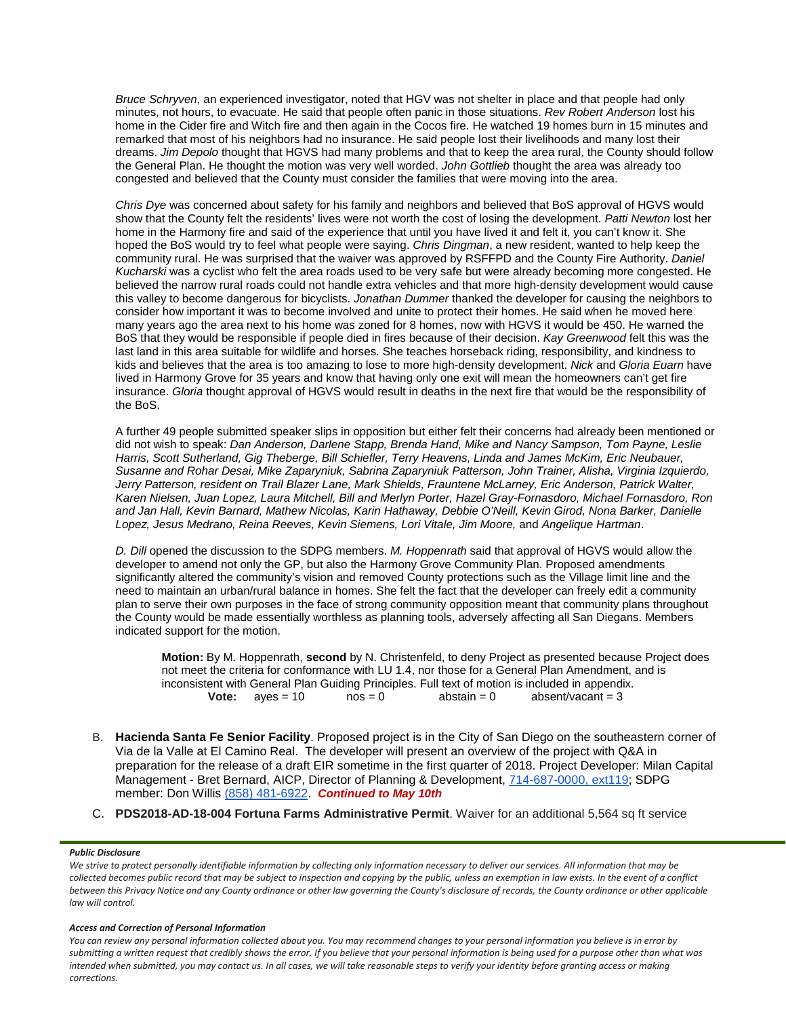*Bruce Schryven*, an experienced investigator, noted that HGV was not shelter in place and that people had only minutes, not hours, to evacuate. He said that people often panic in those situations. *Rev Robert Anderson* lost his home in the Cider fire and Witch fire and then again in the Cocos fire. He watched 19 homes burn in 15 minutes and remarked that most of his neighbors had no insurance. He said people lost their livelihoods and many lost their dreams. *Jim Depolo* thought that HGVS had many problems and that to keep the area rural, the County should follow the General Plan. He thought the motion was very well worded. *John Gottlieb* thought the area was already too congested and believed that the County must consider the families that were moving into the area.

*Chris Dye* was concerned about safety for his family and neighbors and believed that BoS approval of HGVS would show that the County felt the residents' lives were not worth the cost of losing the development. *Patti Newton* lost her home in the Harmony fire and said of the experience that until you have lived it and felt it, you can't know it. She hoped the BoS would try to feel what people were saying. *Chris Dingman*, a new resident, wanted to help keep the community rural. He was surprised that the waiver was approved by RSFFPD and the County Fire Authority. *Daniel Kucharski* was a cyclist who felt the area roads used to be very safe but were already becoming more congested. He believed the narrow rural roads could not handle extra vehicles and that more high-density development would cause this valley to become dangerous for bicyclists. *Jonathan Dummer* thanked the developer for causing the neighbors to consider how important it was to become involved and unite to protect their homes. He said when he moved here many years ago the area next to his home was zoned for 8 homes, now with HGVS it would be 450. He warned the BoS that they would be responsible if people died in fires because of their decision. *Kay Greenwood* felt this was the last land in this area suitable for wildlife and horses. She teaches horseback riding, responsibility, and kindness to kids and believes that the area is too amazing to lose to more high-density development. *Nick* and *Gloria Euarn* have lived in Harmony Grove for 35 years and know that having only one exit will mean the homeowners can't get fire insurance. *Gloria* thought approval of HGVS would result in deaths in the next fire that would be the responsibility of the BoS.

A further 49 people submitted speaker slips in opposition but either felt their concerns had already been mentioned or did not wish to speak: *Dan Anderson, Darlene Stapp, Brenda Hand, Mike and Nancy Sampson, Tom Payne, Leslie Harris, Scott Sutherland, Gig Theberge, Bill Schiefler, Terry Heavens, Linda and James McKim, Eric Neubauer, Susanne and Rohar Desai, Mike Zaparyniuk, Sabrina Zaparyniuk Patterson, John Trainer, Alisha, Virginia Izquierdo, Jerry Patterson, resident on Trail Blazer Lane, Mark Shields, Frauntene McLarney, Eric Anderson, Patrick Walter, Karen Nielsen, Juan Lopez, Laura Mitchell, Bill and Merlyn Porter, Hazel Gray-Fornasdoro, Michael Fornasdoro, Ron and Jan Hall, Kevin Barnard, Mathew Nicolas, Karin Hathaway, Debbie O'Neill, Kevin Girod, Nona Barker, Danielle Lopez, Jesus Medrano, Reina Reeves, Kevin Siemens, Lori Vitale, Jim Moore,* and *Angelique Hartman*.

*D. Dill* opened the discussion to the SDPG members. *M. Hoppenrath* said that approval of HGVS would allow the developer to amend not only the GP, but also the Harmony Grove Community Plan. Proposed amendments significantly altered the community's vision and removed County protections such as the Village limit line and the need to maintain an urban/rural balance in homes. She felt the fact that the developer can freely edit a community plan to serve their own purposes in the face of strong community opposition meant that community plans throughout the County would be made essentially worthless as planning tools, adversely affecting all San Diegans. Members indicated support for the motion.

**Motion:** By M. Hoppenrath, **second** by N. Christenfeld, to deny Project as presented because Project does not meet the criteria for conformance with LU 1.4, nor those for a General Plan Amendment, and is inconsistent with General Plan Guiding Principles. Full text of motion is included in appendix.<br> **Vote:**  $a$ ves = 10  $a$ nos = 0  $a$ bstain = 0  $a$ bsent/vacant = 3 **Vote:**  $ayes = 10$ 

- B. **Hacienda Santa Fe Senior Facility**. Proposed project is in the City of San Diego on the southeastern corner of Via de la Valle at El Camino Real. The developer will present an overview of the project with Q&A in preparation for the release of a draft EIR sometime in the first quarter of 2018. Project Developer: Milan Capital Management - Bret Bernard, AICP, Director of Planning & Development, [714-687-0000, ext119;](tel:(714)%20687-0000) SDPG member: Don Willis [\(858\) 481-6922.](tel:(858)%20481-6922) *Continued to May 10th*
- C. **PDS2018-AD-18-004 Fortuna Farms Administrative Permit**. Waiver for an additional 5,564 sq ft service

### *Public Disclosure*

*We strive to protect personally identifiable information by collecting only information necessary to deliver our services. All information that may be collected becomes public record that may be subject to inspection and copying by the public, unless an exemption in law exists. In the event of a conflict between this Privacy Notice and any County ordinance or other law governing the County's disclosure of records, the County ordinance or other applicable law will control.*

### *Access and Correction of Personal Information*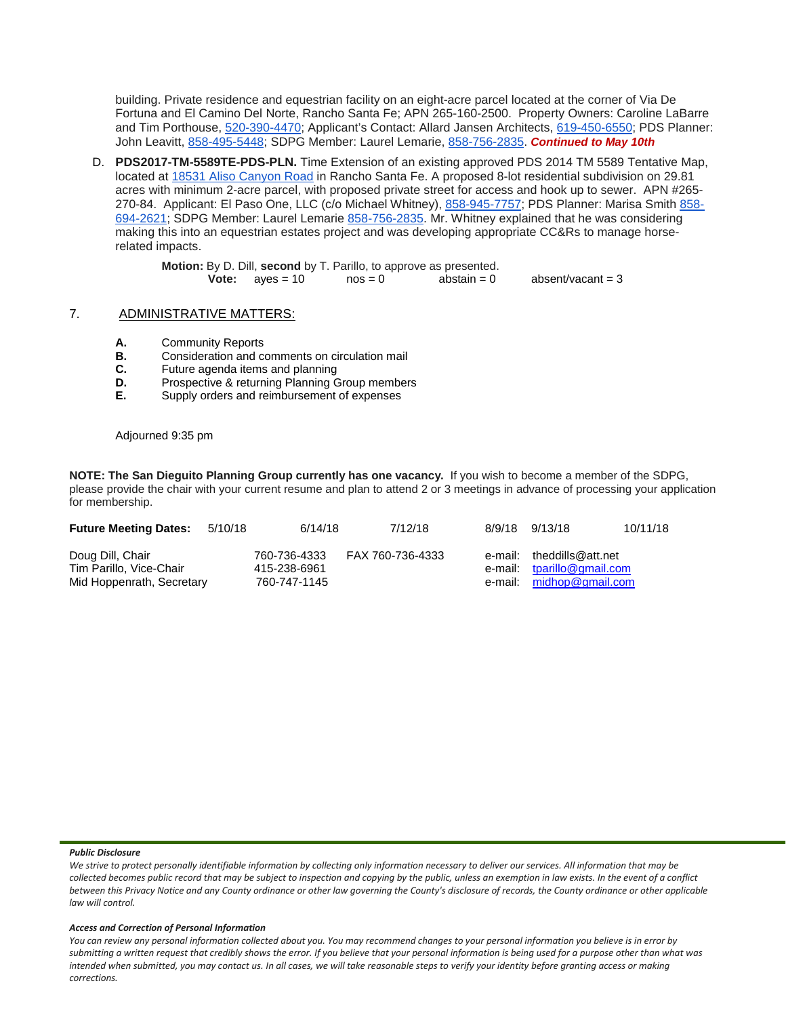building. Private residence and equestrian facility on an eight-acre parcel located at the corner of Via De Fortuna and El Camino Del Norte, Rancho Santa Fe; APN 265-160-2500. Property Owners: Caroline LaBarre and Tim Porthouse, [520-390-4470;](tel:(520)%20390-4470) Applicant's Contact: Allard Jansen Architects, [619-450-6550;](tel:(619)%20450-6550) PDS Planner: John Leavitt, [858-495-5448;](tel:(858)%20495-5448) SDPG Member: Laurel Lemarie, [858-756-2835.](tel:(858)%20756-2835) *Continued to May 10th* 

D. **PDS2017-TM-5589TE-PDS-PLN.** Time Extension of an existing approved PDS 2014 TM 5589 Tentative Map, located at [18531 Aliso Canyon Road](https://maps.google.com/?q=18531+Aliso+Canyon+Road&entry=gmail&source=g) in Rancho Santa Fe. A proposed 8-lot residential subdivision on 29.81 acres with minimum 2-acre parcel, with proposed private street for access and hook up to sewer. APN #265- 270-84. Applicant: El Paso One, LLC (c/o Michael Whitney), [858-945-7757;](tel:(858)%20945-7757) PDS Planner: Marisa Smith [858-](tel:(858)%20694-2621) [694-2621;](tel:(858)%20694-2621) SDPG Member: Laurel Lemarie [858-756-2835.](tel:(858)%20756-2835) Mr. Whitney explained that he was considering making this into an equestrian estates project and was developing appropriate CC&Rs to manage horserelated impacts.

> **Motion:** By D. Dill, **second** by T. Parillo, to approve as presented.<br> **Vote:** aves = 10 nos = 0 abstain = 0 **Vote:**  $a$  ves = 10  $a$  nos = 0  $a$  abstain = 0  $a$  absent/vacant = 3

### 7. ADMINISTRATIVE MATTERS:

- **A.** Community Reports<br>**B.** Consideration and com-
- **B.** Consideration and comments on circulation mail<br>**C.** Future agenda items and planning
- **C.** Future agenda items and planning<br>**D.** Prospective & returning Planning G.
- **D.** Prospective & returning Planning Group members<br>**E.** Supply orders and reimbursement of expenses
- **E.** Supply orders and reimbursement of expenses

### Adjourned 9:35 pm

**NOTE: The San Dieguito Planning Group currently has one vacancy.** If you wish to become a member of the SDPG, please provide the chair with your current resume and plan to attend 2 or 3 meetings in advance of processing your application for membership.

| <b>Future Meeting Dates:</b>                                             | 5/10/18 | 6/14/18                                      | 7/12/18          | 8/9/18 9/13/18                                                                      | 10/11/18 |
|--------------------------------------------------------------------------|---------|----------------------------------------------|------------------|-------------------------------------------------------------------------------------|----------|
| Doug Dill, Chair<br>Tim Parillo, Vice-Chair<br>Mid Hoppenrath, Secretary |         | 760-736-4333<br>415-238-6961<br>760-747-1145 | FAX 760-736-4333 | e-mail: theddills@att.net<br>e-mail: tparillo@gmail.com<br>e-mail: midhop@gmail.com |          |

#### *Public Disclosure*

*We strive to protect personally identifiable information by collecting only information necessary to deliver our services. All information that may be collected becomes public record that may be subject to inspection and copying by the public, unless an exemption in law exists. In the event of a conflict between this Privacy Notice and any County ordinance or other law governing the County's disclosure of records, the County ordinance or other applicable law will control.*

### *Access and Correction of Personal Information*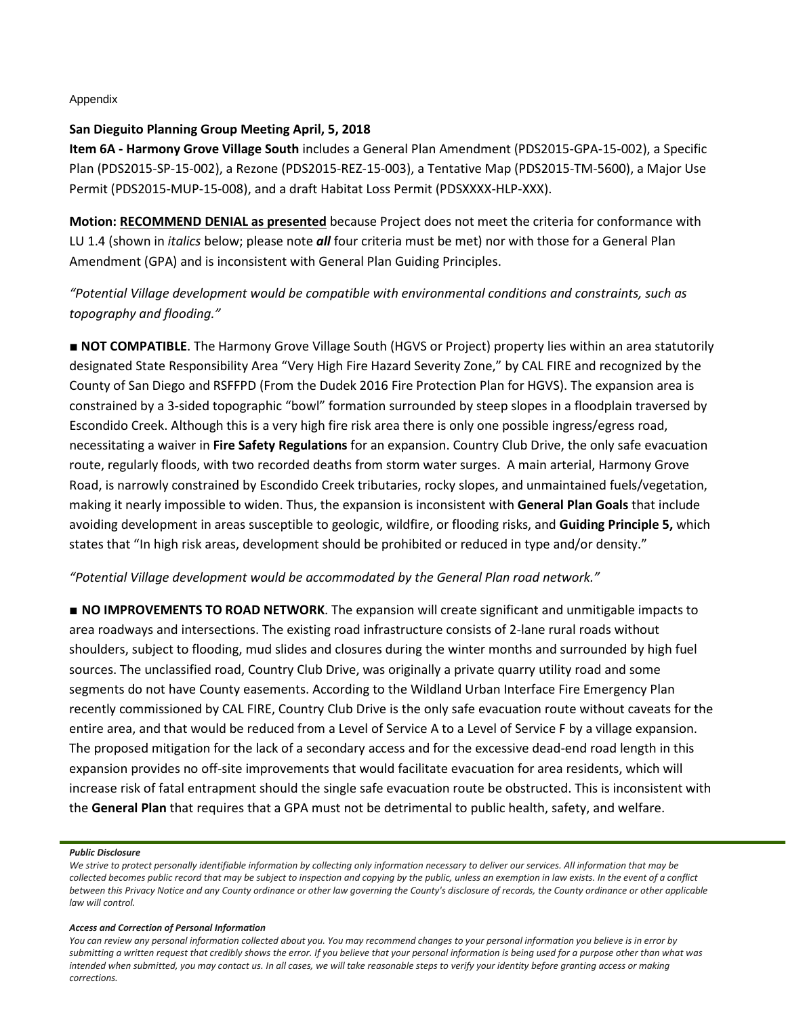### Appendix

# **San Dieguito Planning Group Meeting April, 5, 2018**

**Item 6A - Harmony Grove Village South** includes a General Plan Amendment (PDS2015-GPA-15-002), a Specific Plan (PDS2015-SP-15-002), a Rezone (PDS2015-REZ-15-003), a Tentative Map (PDS2015-TM-5600), a Major Use Permit (PDS2015-MUP-15-008), and a draft Habitat Loss Permit (PDSXXXX-HLP-XXX).

**Motion: RECOMMEND DENIAL as presented** because Project does not meet the criteria for conformance with LU 1.4 (shown in *italics* below; please note *all* four criteria must be met) nor with those for a General Plan Amendment (GPA) and is inconsistent with General Plan Guiding Principles.

*"Potential Village development would be compatible with environmental conditions and constraints, such as topography and flooding."*

■ **NOT COMPATIBLE**. The Harmony Grove Village South (HGVS or Project) property lies within an area statutorily designated State Responsibility Area "Very High Fire Hazard Severity Zone," by CAL FIRE and recognized by the County of San Diego and RSFFPD (From the Dudek 2016 Fire Protection Plan for HGVS). The expansion area is constrained by a 3-sided topographic "bowl" formation surrounded by steep slopes in a floodplain traversed by Escondido Creek. Although this is a very high fire risk area there is only one possible ingress/egress road, necessitating a waiver in **Fire Safety Regulations** for an expansion. Country Club Drive, the only safe evacuation route, regularly floods, with two recorded deaths from storm water surges. A main arterial, Harmony Grove Road, is narrowly constrained by Escondido Creek tributaries, rocky slopes, and unmaintained fuels/vegetation, making it nearly impossible to widen. Thus, the expansion is inconsistent with **General Plan Goals** that include avoiding development in areas susceptible to geologic, wildfire, or flooding risks, and **Guiding Principle 5,** which states that "In high risk areas, development should be prohibited or reduced in type and/or density."

# *"Potential Village development would be accommodated by the General Plan road network."*

■ **NO IMPROVEMENTS TO ROAD NETWORK**. The expansion will create significant and unmitigable impacts to area roadways and intersections. The existing road infrastructure consists of 2-lane rural roads without shoulders, subject to flooding, mud slides and closures during the winter months and surrounded by high fuel sources. The unclassified road, Country Club Drive, was originally a private quarry utility road and some segments do not have County easements. According to the Wildland Urban Interface Fire Emergency Plan recently commissioned by CAL FIRE, Country Club Drive is the only safe evacuation route without caveats for the entire area, and that would be reduced from a Level of Service A to a Level of Service F by a village expansion. The proposed mitigation for the lack of a secondary access and for the excessive dead-end road length in this expansion provides no off-site improvements that would facilitate evacuation for area residents, which will increase risk of fatal entrapment should the single safe evacuation route be obstructed. This is inconsistent with the **General Plan** that requires that a GPA must not be detrimental to public health, safety, and welfare.

### *Public Disclosure*

### *Access and Correction of Personal Information*

*We strive to protect personally identifiable information by collecting only information necessary to deliver our services. All information that may be collected becomes public record that may be subject to inspection and copying by the public, unless an exemption in law exists. In the event of a conflict between this Privacy Notice and any County ordinance or other law governing the County's disclosure of records, the County ordinance or other applicable law will control.*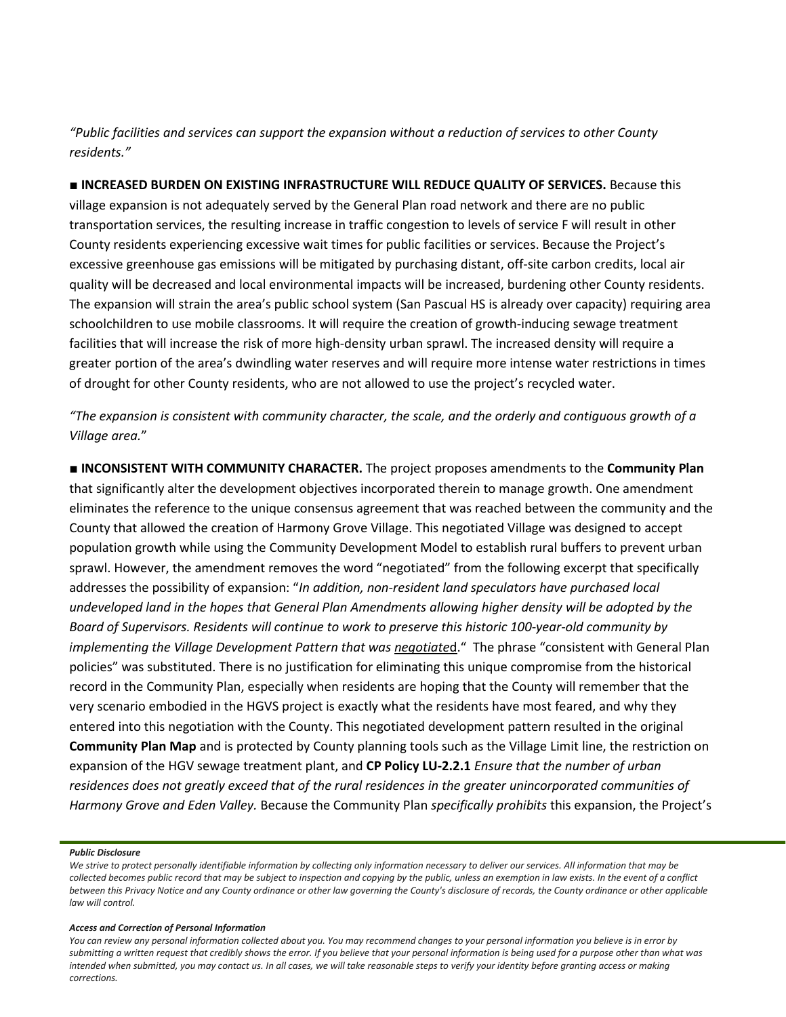*"Public facilities and services can support the expansion without a reduction of services to other County residents."*

■ **INCREASED BURDEN ON EXISTING INFRASTRUCTURE WILL REDUCE QUALITY OF SERVICES.** Because this village expansion is not adequately served by the General Plan road network and there are no public transportation services, the resulting increase in traffic congestion to levels of service F will result in other County residents experiencing excessive wait times for public facilities or services. Because the Project's excessive greenhouse gas emissions will be mitigated by purchasing distant, off-site carbon credits, local air quality will be decreased and local environmental impacts will be increased, burdening other County residents. The expansion will strain the area's public school system (San Pascual HS is already over capacity) requiring area schoolchildren to use mobile classrooms. It will require the creation of growth-inducing sewage treatment facilities that will increase the risk of more high-density urban sprawl. The increased density will require a greater portion of the area's dwindling water reserves and will require more intense water restrictions in times of drought for other County residents, who are not allowed to use the project's recycled water.

*"The expansion is consistent with community character, the scale, and the orderly and contiguous growth of a Village area.*"

**■ INCONSISTENT WITH COMMUNITY CHARACTER.** The project proposes amendments to the **Community Plan** that significantly alter the development objectives incorporated therein to manage growth. One amendment eliminates the reference to the unique consensus agreement that was reached between the community and the County that allowed the creation of Harmony Grove Village. This negotiated Village was designed to accept population growth while using the Community Development Model to establish rural buffers to prevent urban sprawl. However, the amendment removes the word "negotiated" from the following excerpt that specifically addresses the possibility of expansion: "*In addition, non-resident land speculators have purchased local undeveloped land in the hopes that General Plan Amendments allowing higher density will be adopted by the Board of Supervisors. Residents will continue to work to preserve this historic 100-year-old community by implementing the Village Development Pattern that was negotiate*d." The phrase "consistent with General Plan policies" was substituted. There is no justification for eliminating this unique compromise from the historical record in the Community Plan, especially when residents are hoping that the County will remember that the very scenario embodied in the HGVS project is exactly what the residents have most feared, and why they entered into this negotiation with the County. This negotiated development pattern resulted in the original **Community Plan Map** and is protected by County planning tools such as the Village Limit line, the restriction on expansion of the HGV sewage treatment plant, and **CP Policy LU-2.2.1** *Ensure that the number of urban*  residences does not greatly exceed that of the rural residences in the greater *unincorporated communities of Harmony Grove and Eden Valley.* Because the Community Plan *specifically prohibits* this expansion, the Project's

#### *Public Disclosure*

### *Access and Correction of Personal Information*

*We strive to protect personally identifiable information by collecting only information necessary to deliver our services. All information that may be collected becomes public record that may be subject to inspection and copying by the public, unless an exemption in law exists. In the event of a conflict between this Privacy Notice and any County ordinance or other law governing the County's disclosure of records, the County ordinance or other applicable law will control.*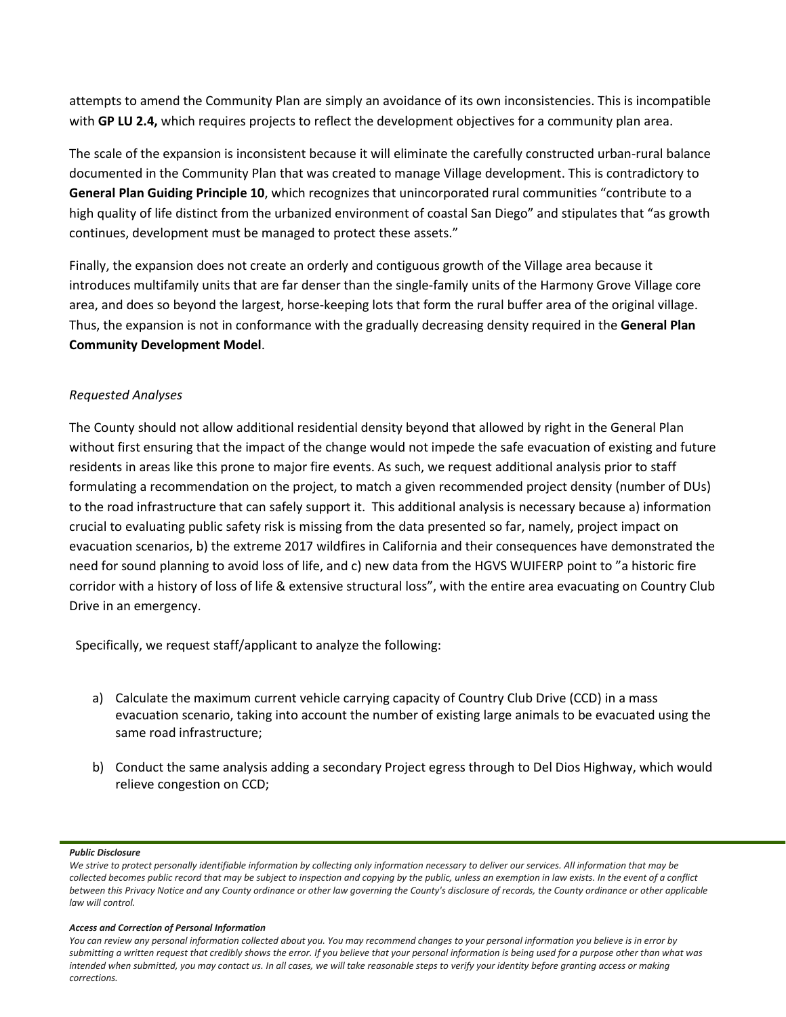attempts to amend the Community Plan are simply an avoidance of its own inconsistencies. This is incompatible with **GP LU 2.4,** which requires projects to reflect the development objectives for a community plan area.

The scale of the expansion is inconsistent because it will eliminate the carefully constructed urban-rural balance documented in the Community Plan that was created to manage Village development. This is contradictory to **General Plan Guiding Principle 10**, which recognizes that unincorporated rural communities "contribute to a high quality of life distinct from the urbanized environment of coastal San Diego" and stipulates that "as growth continues, development must be managed to protect these assets."

Finally, the expansion does not create an orderly and contiguous growth of the Village area because it introduces multifamily units that are far denser than the single-family units of the Harmony Grove Village core area, and does so beyond the largest, horse-keeping lots that form the rural buffer area of the original village. Thus, the expansion is not in conformance with the gradually decreasing density required in the **General Plan Community Development Model**.

# *Requested Analyses*

The County should not allow additional residential density beyond that allowed by right in the General Plan without first ensuring that the impact of the change would not impede the safe evacuation of existing and future residents in areas like this prone to major fire events. As such, we request additional analysis prior to staff formulating a recommendation on the project, to match a given recommended project density (number of DUs) to the road infrastructure that can safely support it. This additional analysis is necessary because a) information crucial to evaluating public safety risk is missing from the data presented so far, namely, project impact on evacuation scenarios, b) the extreme 2017 wildfires in California and their consequences have demonstrated the need for sound planning to avoid loss of life, and c) new data from the HGVS WUIFERP point to "a historic fire corridor with a history of loss of life & extensive structural loss", with the entire area evacuating on Country Club Drive in an emergency.

Specifically, we request staff/applicant to analyze the following:

- a) Calculate the maximum current vehicle carrying capacity of Country Club Drive (CCD) in a mass evacuation scenario, taking into account the number of existing large animals to be evacuated using the same road infrastructure;
- b) Conduct the same analysis adding a secondary Project egress through to Del Dios Highway, which would relieve congestion on CCD;

### *Public Disclosure*

### *Access and Correction of Personal Information*

*We strive to protect personally identifiable information by collecting only information necessary to deliver our services. All information that may be collected becomes public record that may be subject to inspection and copying by the public, unless an exemption in law exists. In the event of a conflict between this Privacy Notice and any County ordinance or other law governing the County's disclosure of records, the County ordinance or other applicable law will control.*